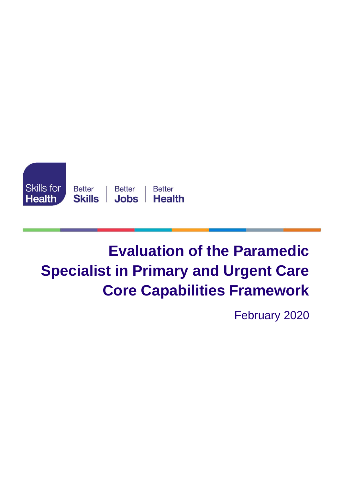

# **Evaluation of the Paramedic Specialist in Primary and Urgent Care Core Capabilities Framework**

February 2020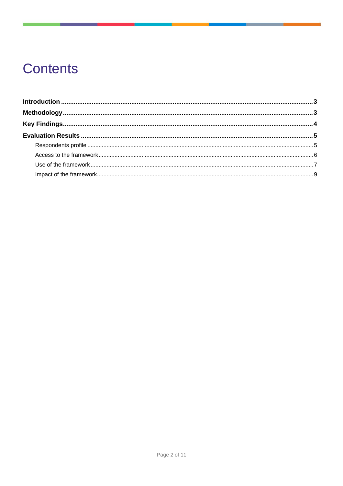## **Contents**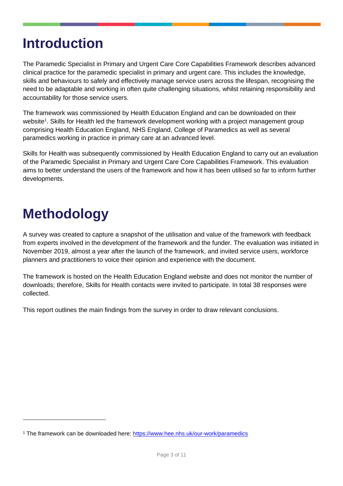## <span id="page-2-0"></span>**Introduction**

The Paramedic Specialist in Primary and Urgent Care Core Capabilities Framework describes advanced clinical practice for the paramedic specialist in primary and urgent care. This includes the knowledge, skills and behaviours to safely and effectively manage service users across the lifespan, recognising the need to be adaptable and working in often quite challenging situations, whilst retaining responsibility and accountability for those service users.

The framework was commissioned by Health Education England and can be downloaded on their website<sup>1</sup>. Skills for Health led the framework development working with a project management group comprising Health Education England, NHS England, College of Paramedics as well as several paramedics working in practice in primary care at an advanced level.

Skills for Health was subsequently commissioned by Health Education England to carry out an evaluation of the Paramedic Specialist in Primary and Urgent Care Core Capabilities Framework. This evaluation aims to better understand the users of the framework and how it has been utilised so far to inform further developments.

## <span id="page-2-1"></span>**Methodology**

A survey was created to capture a snapshot of the utilisation and value of the framework with feedback from experts involved in the development of the framework and the funder. The evaluation was initiated in November 2019, almost a year after the launch of the framework, and invited service users, workforce planners and practitioners to voice their opinion and experience with the document.

The framework is hosted on the Health Education England website and does not monitor the number of downloads; therefore, Skills for Health contacts were invited to participate. In total 38 responses were collected.

This report outlines the main findings from the survey in order to draw relevant conclusions.

<sup>1</sup> The framework can be downloaded here:<https://www.hee.nhs.uk/our-work/paramedics>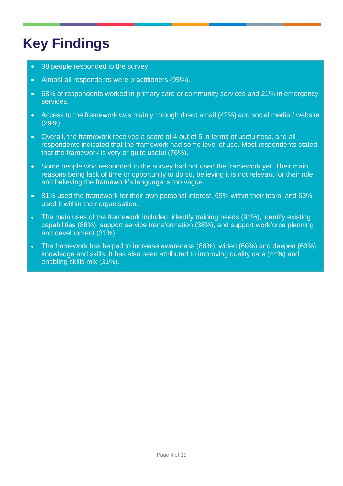## <span id="page-3-0"></span>**Key Findings**

- 38 people responded to the survey.
- Almost all respondents were practitioners (95%).
- 68% of respondents worked in primary care or community services and 21% in emergency services.
- Access to the framework was mainly through direct email (42%) and social media / website (29%).
- Overall, the framework received a score of 4 out of 5 in terms of usefulness, and all respondents indicated that the framework had some level of use. Most respondents stated that the framework is very or quite useful (76%).
- Some people who responded to the survey had not used the framework yet. Their main reasons being lack of time or opportunity to do so, believing it is not relevant for their role, and believing the framework's language is too vague.
- 81% used the framework for their own personal interest, 69% within their team, and 63% used it within their organisation.
- The main uses of the framework included: identify training needs (91%), identify existing capabilities (88%), support service transformation (38%), and support workforce planning and development (31%).
- The framework has helped to increase awareness (88%), widen (69%) and deepen (63%) knowledge and skills. It has also been attributed to improving quality care (44%) and enabling skills mix (31%).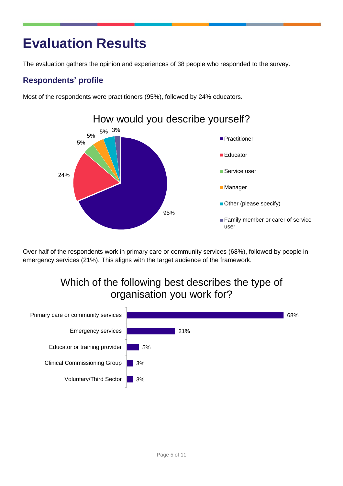## <span id="page-4-0"></span>**Evaluation Results**

The evaluation gathers the opinion and experiences of 38 people who responded to the survey.

#### <span id="page-4-1"></span>**Respondents' profile**

Most of the respondents were practitioners (95%), followed by 24% educators.



Over half of the respondents work in primary care or community services (68%), followed by people in emergency services (21%). This aligns with the target audience of the framework.

### Which of the following best describes the type of organisation you work for?

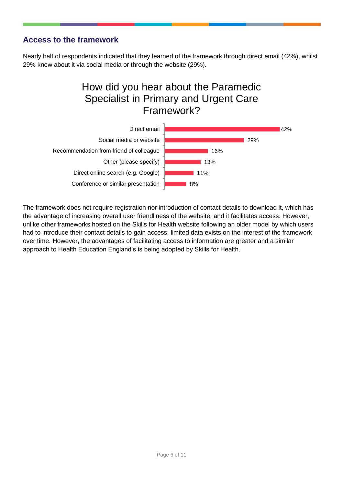#### <span id="page-5-0"></span>**Access to the framework**

Nearly half of respondents indicated that they learned of the framework through direct email (42%), whilst 29% knew about it via social media or through the website (29%).

### How did you hear about the Paramedic Specialist in Primary and Urgent Care Framework?



The framework does not require registration nor introduction of contact details to download it, which has the advantage of increasing overall user friendliness of the website, and it facilitates access. However, unlike other frameworks hosted on the Skills for Health website following an older model by which users had to introduce their contact details to gain access, limited data exists on the interest of the framework over time. However, the advantages of facilitating access to information are greater and a similar approach to Health Education England's is being adopted by Skills for Health.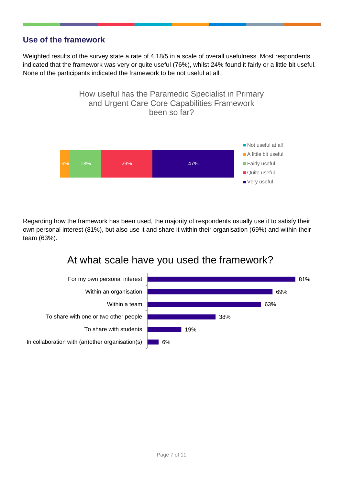#### <span id="page-6-0"></span>**Use of the framework**

Weighted results of the survey state a rate of 4.18/5 in a scale of overall usefulness. Most respondents indicated that the framework was very or quite useful (76%), whilst 24% found it fairly or a little bit useful. None of the participants indicated the framework to be not useful at all.



Regarding how the framework has been used, the majority of respondents usually use it to satisfy their own personal interest (81%), but also use it and share it within their organisation (69%) and within their team (63%).

### At what scale have you used the framework?

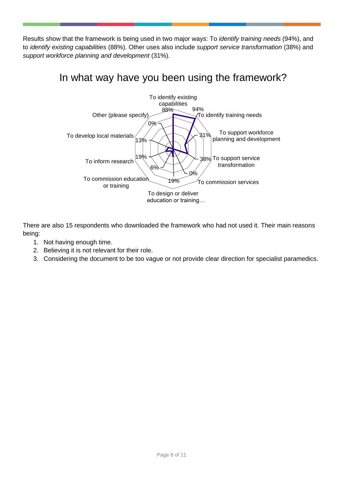Results show that the framework is being used in two major ways: To *identify training needs* (94%), and to *identify existing capabilities* (88%). Other uses also include *support service transformation* (38%) and *support workforce planning and development* (31%).

### In what way have you been using the framework?



There are also 15 respondents who downloaded the framework who had not used it. Their main reasons being:

- 1. Not having enough time.
- 2. Believing it is not relevant for their role.
- 3. Considering the document to be too vague or not provide clear direction for specialist paramedics.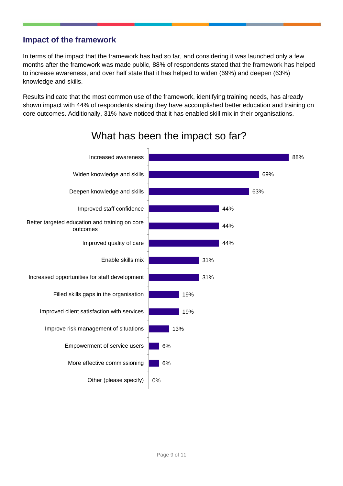#### <span id="page-8-0"></span>**Impact of the framework**

In terms of the impact that the framework has had so far, and considering it was launched only a few months after the framework was made public, 88% of respondents stated that the framework has helped to increase awareness, and over half state that it has helped to widen (69%) and deepen (63%) knowledge and skills.

Results indicate that the most common use of the framework, identifying training needs, has already shown impact with 44% of respondents stating they have accomplished better education and training on core outcomes. Additionally, 31% have noticed that it has enabled skill mix in their organisations.



### What has been the impact so far?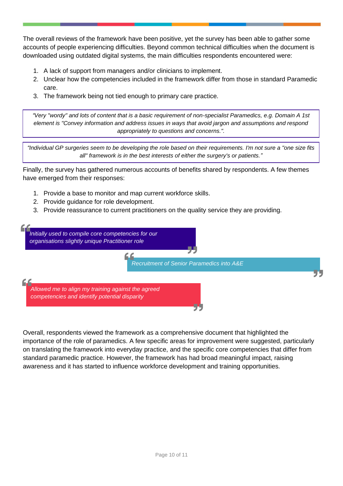The overall reviews of the framework have been positive, yet the survey has been able to gather some accounts of people experiencing difficulties. Beyond common technical difficulties when the document is downloaded using outdated digital systems, the main difficulties respondents encountered were:

- 1. A lack of support from managers and/or clinicians to implement.
- 2. Unclear how the competencies included in the framework differ from those in standard Paramedic care.
- 3. The framework being not tied enough to primary care practice.

*"Very "wordy" and lots of content that is a basic requirement of non-specialist Paramedics, e.g. Domain A 1st element is "Convey information and address issues in ways that avoid jargon and assumptions and respond appropriately to questions and concerns.".*

*"Individual GP surgeries seem to be developing the role based on their requirements. I'm not sure a "one size fits all" framework is in the best interests of either the surgery's or patients."*

Finally, the survey has gathered numerous accounts of benefits shared by respondents. A few themes have emerged from their responses:

- 1. Provide a base to monitor and map current workforce skills.
- 2. Provide guidance for role development.
- 3. Provide reassurance to current practitioners on the quality service they are providing.



Overall, respondents viewed the framework as a comprehensive document that highlighted the importance of the role of paramedics. A few specific areas for improvement were suggested, particularly on translating the framework into everyday practice, and the specific core competencies that differ from standard paramedic practice. However, the framework has had broad meaningful impact, raising awareness and it has started to influence workforce development and training opportunities.